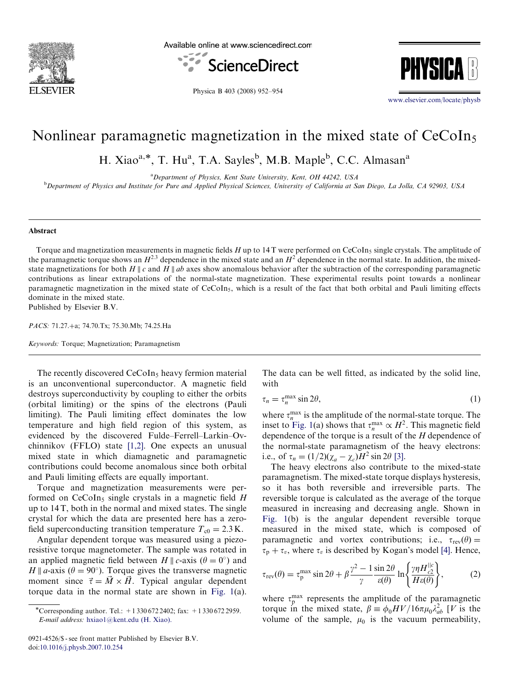

Available online at www.sciencedirect.com





Physica B 403 (2008) 952–954

<www.elsevier.com/locate/physb>

## Nonlinear paramagnetic magnetization in the mixed state of CeCoIn<sub>5</sub>

H. Xiao<sup>a,\*</sup>, T. Hu<sup>a</sup>, T.A. Sayles<sup>b</sup>, M.B. Maple<sup>b</sup>, C.C. Almasan<sup>a</sup>

<sup>a</sup> Department of Physics, Kent State University, Kent, OH 44242, USA **b** Department of Physics and Institute for Pure and Applied Physical Sciences, University of California at San Diego, La Jolla, CA 92903, USA

## Abstract

Torque and magnetization measurements in magnetic fields  $H$  up to 14 T were performed on CeCoIn<sub>5</sub> single crystals. The amplitude of the paramagnetic torque shows an  $H^{2,3}$  dependence in the mixed state and an  $H^2$  dependence in the normal state. In addition, the mixedstate magnetizations for both H || c and H || ab axes show anomalous behavior after the subtraction of the corresponding paramagnetic contributions as linear extrapolations of the normal-state magnetization. These experimental results point towards a nonlinear paramagnetic magnetization in the mixed state of  $CeCoIn<sub>5</sub>$ , which is a result of the fact that both orbital and Pauli limiting effects dominate in the mixed state. Published by Elsevier B.V.

PACS: 71.27.+a; 74.70.Tx; 75.30.Mb; 74.25.Ha

Keywords: Torque; Magnetization; Paramagnetism

The recently discovered  $CeCoIn<sub>5</sub>$  heavy fermion material is an unconventional superconductor. A magnetic field destroys superconductivity by coupling to either the orbits (orbital limiting) or the spins of the electrons (Pauli limiting). The Pauli limiting effect dominates the low temperature and high field region of this system, as evidenced by the discovered Fulde–Ferrell–Larkin–Ovchinnikov (FFLO) state [\[1,2\].](#page-2-0) One expects an unusual mixed state in which diamagnetic and paramagnetic contributions could become anomalous since both orbital and Pauli limiting effects are equally important.

Torque and magnetization measurements were performed on  $CeCoIn<sub>5</sub>$  single crystals in a magnetic field H up to 14 T, both in the normal and mixed states. The single crystal for which the data are presented here has a zerofield superconducting transition temperature  $T_{c0} = 2.3 \text{ K.}$ 

Angular dependent torque was measured using a piezoresistive torque magnetometer. The sample was rotated in an applied magnetic field between  $H \parallel c$ -axis ( $\theta = 0^{\circ}$ ) and H || a-axis ( $\theta = 90^{\circ}$ ). Torque gives the transverse magnetic moment since  $\vec{\tau} = \vec{M} \times \vec{H}$ . Typical angular dependent torque data in the normal state are shown in [Fig. 1](#page-1-0)(a). The data can be well fitted, as indicated by the solid line, with

$$
\tau_n = \tau_n^{\max} \sin 2\theta,\tag{1}
$$

where  $\tau_n^{\text{max}}$  is the amplitude of the normal-state torque. The inset to [Fig. 1](#page-1-0)(a) shows that  $\tau_n^{\max} \propto H^2$ . This magnetic field dependence of the torque is a result of the  $H$  dependence of the normal-state paramagnetism of the heavy electrons: i.e., of  $\tau_n = (1/2)(\chi_a - \chi_c)H^2 \sin 2\theta$  [\[3\]](#page-2-0).

The heavy electrons also contribute to the mixed-state paramagnetism. The mixed-state torque displays hysteresis, so it has both reversible and irreversible parts. The reversible torque is calculated as the average of the torque measured in increasing and decreasing angle. Shown in [Fig. 1](#page-1-0)(b) is the angular dependent reversible torque measured in the mixed state, which is composed of paramagnetic and vortex contributions; i.e.,  $\tau_{rev}(\theta) =$  $\tau_p + \tau_v$ , where  $\tau_v$  is described by Kogan's model [\[4\].](#page-2-0) Hence,

$$
\tau_{\rm rev}(\theta) = \tau_{\rm p}^{\rm max} \sin 2\theta + \beta \frac{\gamma^2 - 1}{\gamma} \frac{\sin 2\theta}{\varepsilon(\theta)} \ln \left\{ \frac{\gamma \eta H_{c2}^{\parallel c}}{H \varepsilon(\theta)} \right\},\tag{2}
$$

where  $\tau_p^{\text{max}}$  represents the amplitude of the paramagnetic torque in the mixed state,  $\beta \equiv \phi_0 H V / 16 \pi \mu_0 \lambda_{ab}^2$  [V is the volume of the sample,  $\mu_0$  is the vacuum permeability,

<sup>\*</sup>Corresponding author. Tel.: +1 330 672 2402; fax: +1 330 672 2959. E-mail address: [hxiao1@kent.edu \(H. Xiao\).](mailto:hxiao1@kent.edu)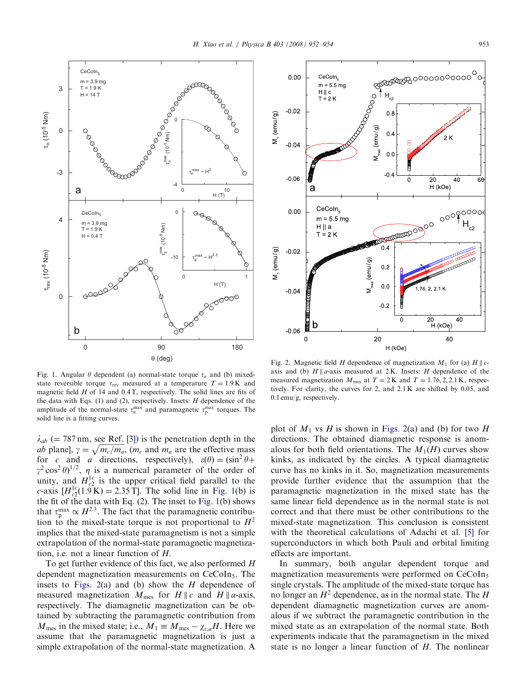<span id="page-1-0"></span>

Fig. 1. Angular  $\theta$  dependent (a) normal-state torque  $\tau_n$  and (b) mixedstate reversible torque  $\tau_{\text{rev}}$  measured at a temperature  $T = 1.9 \text{ K}$  and magnetic field  $H$  of 14 and 0.4 T, respectively. The solid lines are fits of the data with Eqs. (1) and (2), respectively. Insets:  $H$  dependence of the amplitude of the normal-state  $\tau_n^{\max}$  and paramagnetic  $\tau_p^{\max}$  torques. The solid line is a fitting curves.

 $\lambda_{ab}$  (= 787 nm, see Ref. [\[3\]](#page-2-0)) is the penetration depth in the  $\alpha_{ab}$  (= 767 km, see Ker. [5]) is the peneriation depth in the ab plane],  $\gamma = \sqrt{m_c/m_a}$ , ( $m_c$  and  $m_a$  are the effective mass for c and a directions, respectively),  $\varepsilon(\theta) = (\sin^2 \theta + \sin^2 \theta)$  $\gamma^2 \cos^2 \theta$ <sup>1/2</sup>,  $\eta$  is a numerical parameter of the order of unity, and  $H_{c2}^{\parallel c}$  is the upper critical field parallel to the *c*-axis  $[H_{c2}^{\parallel c}(1.9 \text{ K}) = 2.35 \text{ T}]$ . The solid line in Fig. 1(b) is the fit of the data with Eq. (2). The inset to Fig. 1(b) shows that  $\tau_{\rm p}^{\rm max} \propto H^{2.3}$ . The fact that the paramagnetic contribution to the mixed-state torque is not proportional to  $H^2$ implies that the mixed-state paramagnetism is not a simple extrapolation of the normal-state paramagnetic magnetization, i.e. not a linear function of H.

To get further evidence of this fact, we also performed H dependent magnetization measurements on CeCoIn<sub>5</sub>. The insets to Figs. 2(a) and (b) show the  $H$  dependence of measured magnetization  $M_{\text{mes}}$  for  $H \parallel c$  and  $H \parallel a$ -axis, respectively. The diamagnetic magnetization can be obtained by subtracting the paramagnetic contribution from  $M_{\text{mes}}$  in the mixed state; i.e.,  $M_1 \equiv M_{\text{mes}} - \chi_{c,a}H$ . Here we assume that the paramagnetic magnetization is just a simple extrapolation of the normal-state magnetization. A



Fig. 2. Magnetic field H dependence of magnetization  $M_1$  for (a)  $H \parallel c$ axis and (b)  $H \parallel a$ -axis measured at 2K. Insets: H dependence of the measured magnetization  $M_{\text{mes}}$  at  $T = 2 \text{ K}$  and  $T = 1.76, 2, 2.1 \text{ K}$ , respectively. For clarity, the curves for 2, and 2.1 K are shifted by 0.05, and 0.1 emu/g, respectively.

plot of  $M_1$  vs H is shown in Figs. 2(a) and (b) for two H directions. The obtained diamagnetic response is anomalous for both field orientations. The  $M_1(H)$  curves show kinks, as indicated by the circles. A typical diamagnetic curve has no kinks in it. So, magnetization measurements provide further evidence that the assumption that the paramagnetic magnetization in the mixed state has the same linear field dependence as in the normal state is not correct and that there must be other contributions to the mixed-state magnetization. This conclusion is consistent with the theoretical calculations of Adachi et al. [\[5\]](#page-2-0) for superconductors in which both Pauli and orbital limiting effects are important.

In summary, both angular dependent torque and magnetization measurements were performed on CeCoIn<sub>5</sub> single crystals. The amplitude of the mixed-state torque has no longer an  $H^2$  dependence, as in the normal state. The H dependent diamagnetic magnetization curves are anomalous if we subtract the paramagnetic contribution in the mixed state as an extrapolation of the normal state. Both experiments indicate that the paramagnetism in the mixed state is no longer a linear function of H. The nonlinear